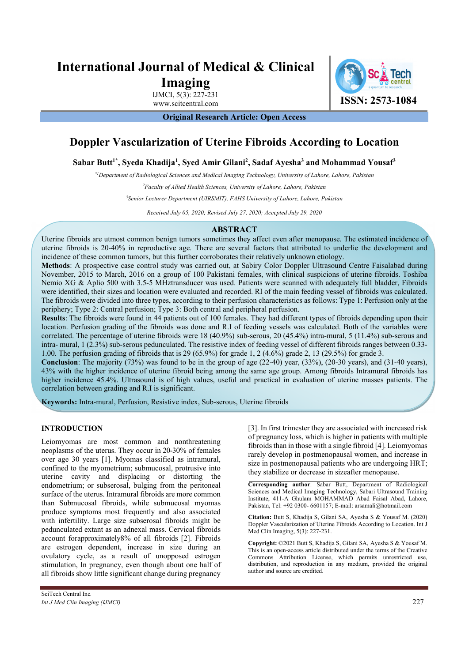# **International Journal of Medical & Clinical Imaging**

IJMCI, 5(3): 227-231



**Original Research Article: Open Access** 

## **Doppler Vascularization of Uterine Fibroids According to Location**

 $S$ abar Butt<sup>1\*</sup>, Syeda Khadija<sup>1</sup>, Syed Amir Gilani<sup>2</sup>, Sadaf Ayesha<sup>3</sup> and Mohammad Yousaf<sup>3</sup>

*\*1Department of Radiological Sciences and Medical Imaging Technology, University of Lahore, Lahore, Pakistan 2 Faculty of Allied Health Sciences, University of Lahore, Lahore, Pakistan* 

*3 Senior Lecturer Department (UIRSMIT), FAHS University of Lahore, Lahore, Pakistan* 

*Received July 05, 2020; Revised July 27, 2020; Accepted July 29, 2020* 

#### **ABSTRACT**

Uterine fibroids are utmost common benign tumors sometimes they affect even after menopause. The estimated incidence of uterine fibroids is 20-40% in reproductive age. There are several factors that attributed to underlie the development and incidence of these common tumors, but this further corroborates their relatively unknown etiology.

**Methods**: A prospective case control study was carried out, at Sabiry Color Doppler Ultrasound Centre Faisalabad during November, 2015 to March, 2016 on a group of 100 Pakistani females, with clinical suspicions of uterine fibroids. Toshiba Nemio XG & Aplio 500 with 3.5-5 MHztransducer was used. Patients were scanned with adequately full bladder, Fibroids were identified, their sizes and location were evaluated and recorded. RI of the main feeding vessel of fibroids was calculated. The fibroids were divided into three types, according to their perfusion characteristics as follows: Type 1: Perfusion only at the periphery; Type 2: Central perfusion; Type 3: Both central and peripheral perfusion.

**Results**: The fibroids were found in 44 patients out of 100 females. They had different types of fibroids depending upon their location. Perfusion grading of the fibroids was done and R.I of feeding vessels was calculated. Both of the variables were correlated. The percentage of uterine fibroids were 18 (40.9%) sub-serous, 20 (45.4%) intra-mural, 5 (11.4%) sub-serous and intra- mural, 1 (2.3%) sub-serous pedunculated. The resistive index of feeding vessel of different fibroids ranges between 0.33- 1.00. The perfusion grading of fibroids that is 29 (65.9%) for grade 1, 2 (4.6%) grade 2, 13 (29.5%) for grade 3.

**Conclusion**: The majority (73%) was found to be in the group of age (22-40) year, (33%), (20-30 years), and (31-40 years), 43% with the higher incidence of uterine fibroid being among the same age group. Among fibroids Intramural fibroids has higher incidence 45.4%. Ultrasound is of high values, useful and practical in evaluation of uterine masses patients. The correlation between grading and R.I is significant.

**Keywords:** Intra-mural, Perfusion, Resistive index, Sub-serous, Uterine fibroids

#### **INTRODUCTION**

Leiomyomas are most common and nonthreatening neoplasms of the uterus. They occur in 20-30% of females over age 30 years [1]. Myomas classified as intramural, confined to the myometrium; submucosal, protrusive into uterine cavity and displacing or distorting the endometrium; or subserosal, bulging from the peritoneal surface of the uterus. Intramural fibroids are more common than Submucosal fibroids, while submucosal myomas produce symptoms most frequently and also associated with infertility. Large size subserosal fibroids might be pedunculated extant as an adnexal mass. Cervical fibroids account forapproximately8% of all fibroids [2]. Fibroids are estrogen dependent, increase in size during an ovulatory cycle, as a result of unopposed estrogen stimulation, In pregnancy, even though about one half of all fibroids show little significant change during pregnancy

[3]. In first trimester they are associated with increased risk of pregnancy loss, which is higher in patients with multiple fibroids than in those with a single fibroid [4]. Leiomyomas rarely develop in postmenopausal women, and increase in size in postmenopausal patients who are undergoing HRT; they stabilize or decrease in sizeafter menopause.

**Corresponding author**: Sabar Butt, Department of Radiological Sciences and Medical Imaging Technology, Sabari Ultrasound Training Institute, 411-A Ghulam MOHAMMAD Abad Faisal Abad, Lahore, Pakistan, Tel: +92 0300- 6601157; E-mail: arsamali@hotmail.com

**Citation:** Butt S, Khadija S, Gilani SA, Ayesha S & Yousaf M. (2020) Doppler Vascularization of Uterine Fibroids According to Location. Int J Med Clin Imaging, 5(3): 227-231.

**Copyright:** ©2021 Butt S, Khadija S, Gilani SA, Ayesha S & Yousaf M. This is an open-access article distributed under the terms of the Creative Commons Attribution License, which permits unrestricted use, distribution, and reproduction in any medium, provided the original author and source are credited.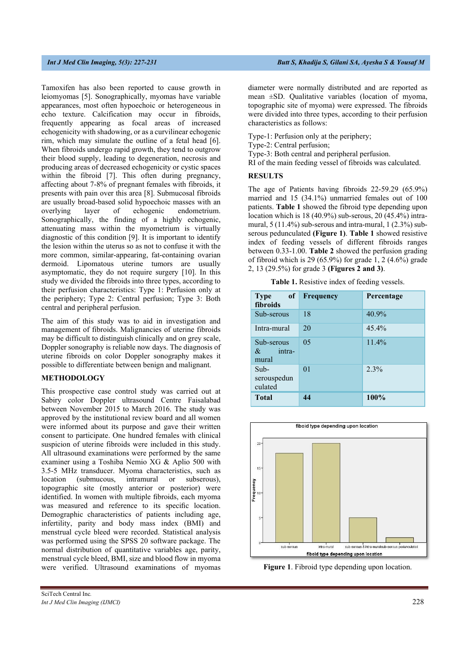Tamoxifen has also been reported to cause growth in leiomyomas [5]. Sonographically, myomas have variable appearances, most often hypoechoic or heterogeneous in echo texture. Calcification may occur in fibroids, frequently appearing as focal areas of increased echogenicity with shadowing, or as a curvilinear echogenic rim, which may simulate the outline of a fetal head [6]. When fibroids undergo rapid growth, they tend to outgrow their blood supply, leading to degeneration, necrosis and producing areas of decreased echogenicity or cystic spaces within the fibroid [7]. This often during pregnancy, affecting about 7-8% of pregnant females with fibroids, it presents with pain over this area [8]. Submucosal fibroids are usually broad-based solid hypoechoic masses with an overlying layer of echogenic endometrium. Sonographically, the finding of a highly echogenic, attenuating mass within the myometrium is virtually diagnostic of this condition [9]. It is important to identify the lesion within the uterus so as not to confuse it with the more common, similar-appearing, fat-containing ovarian dermoid. Lipomatous uterine tumors are usually asymptomatic, they do not require surgery [10]. In this study we divided the fibroids into three types, according to their perfusion characteristics: Type 1: Perfusion only at the periphery; Type 2: Central perfusion; Type 3: Both central and peripheral perfusion.

The aim of this study was to aid in investigation and management of fibroids. Malignancies of uterine fibroids may be difficult to distinguish clinically and on grey scale, Doppler sonography is reliable now days. The diagnosis of uterine fibroids on color Doppler sonography makes it possible to differentiate between benign and malignant.

#### **METHODOLOGY**

This prospective case control study was carried out at Sabiry color Doppler ultrasound Centre Faisalabad between November 2015 to March 2016. The study was approved by the institutional review board and all women were informed about its purpose and gave their written consent to participate. One hundred females with clinical suspicion of uterine fibroids were included in this study. All ultrasound examinations were performed by the same examiner using a Toshiba Nemio XG & Aplio 500 with 3.5-5 MHz transducer. Myoma characteristics, such as location (submucous, intramural or subserous), topographic site (mostly anterior or posterior) were identified. In women with multiple fibroids, each myoma was measured and reference to its specific location. Demographic characteristics of patients including age, infertility, parity and body mass index (BMI) and menstrual cycle bleed were recorded. Statistical analysis was performed using the SPSS 20 software package. The normal distribution of quantitative variables age, parity, menstrual cycle bleed, BMI, size and blood flow in myoma were verified. Ultrasound examinations of myomas

diameter were normally distributed and are reported as mean ±SD. Qualitative variables (location of myoma, topographic site of myoma) were expressed. The fibroids were divided into three types, according to their perfusion characteristics as follows:

Type-1: Perfusion only at the periphery;

Type-2: Central perfusion;

Type-3: Both central and peripheral perfusion.

RI of the main feeding vessel of fibroids was calculated.

#### **RESULTS**

The age of Patients having fibroids 22-59.29 (65.9%) married and 15 (34.1%) unmarried females out of 100 patients. **Table 1** showed the fibroid type depending upon location which is 18 (40.9%) sub-serous, 20 (45.4%) intramural, 5 (11.4%) sub-serous and intra-mural, 1 (2.3%) subserous pedunculated **(Figure 1)**. **Table 1** showed resistive index of feeding vessels of different fibroids ranges between 0.33-1.00. **Table 2** showed the perfusion grading of fibroid which is 29 (65.9%) for grade 1, 2 (4.6%) grade 2, 13 (29.5%) for grade 3 **(Figures 2 and 3)**.

**Table 1.** Resistive index of feeding vessels.

| $-$ of $\vert$<br>Type<br>fibroids    | Frequency      | Percentage |
|---------------------------------------|----------------|------------|
| Sub-serous                            | 18             | $40.9\%$   |
| Intra-mural                           | 20             | 45.4%      |
| Sub-serous<br>intra-<br>$\&$<br>mural | 0 <sub>5</sub> | 11.4%      |
| $Suh-$<br>serouspedun<br>culated      | $\Omega$       | $2.3\%$    |
| <b>Total</b>                          | 44             | 100%       |



**Figure 1**. Fibroid type depending upon location.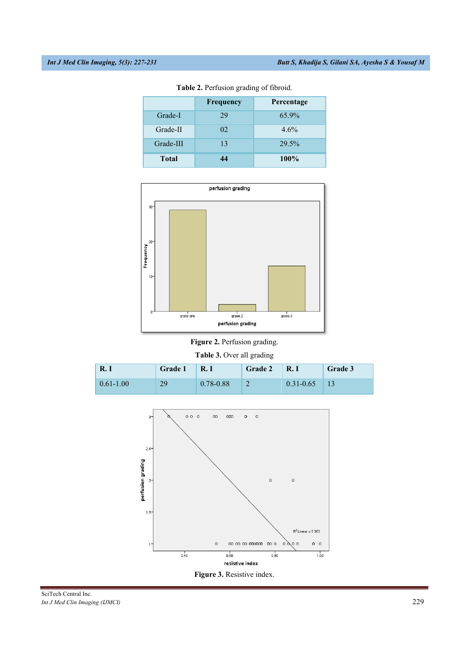|              | <b>Frequency</b> | Percentage |  |  |
|--------------|------------------|------------|--|--|
| Grade-I      | 29               | 65.9%      |  |  |
| Grade-II     | 02               | $4.6\%$    |  |  |
| Grade-III    | 13               | 29.5%      |  |  |
| <b>Total</b> | 44               | 100%       |  |  |

**Table 2.** Perfusion grading of fibroid.



Figure 2. Perfusion grading.

**Table 3.** Over all grading

| R.1           | Grade 1 | R. I          | <b>Grade 2</b> | <b>R.I</b>    | <b>Grade 3</b> |
|---------------|---------|---------------|----------------|---------------|----------------|
| $0.61 - 1.00$ | 29      | $0.78 - 0.88$ |                | $0.31 - 0.65$ |                |



SciTech Central Inc*. Int J Med Clin Imaging (IJMCI)* 229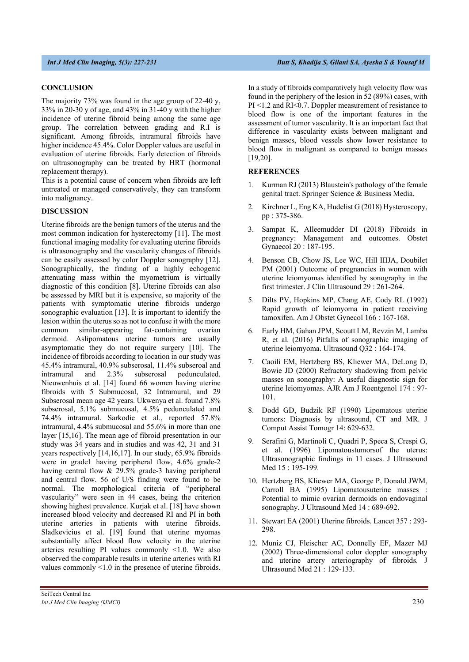#### **CONCLUSION**

The majority 73% was found in the age group of 22-40 y, 33% in 20-30 y of age, and 43% in 31-40 y with the higher incidence of uterine fibroid being among the same age group. The correlation between grading and R.I is significant. Among fibroids, intramural fibroids have higher incidence 45.4%. Color Doppler values are useful in evaluation of uterine fibroids. Early detection of fibroids on ultrasonography can be treated by HRT (hormonal replacement therapy).

This is a potential cause of concern when fibroids are left untreated or managed conservatively, they can transform into malignancy.

#### **DISCUSSION**

Uterine fibroids are the benign tumors of the uterus and the most common indication for hysterectomy [11]. The most functional imaging modality for evaluating uterine fibroids is ultrasonography and the vascularity changes of fibroids can be easily assessed by color Doppler sonography [12]. Sonographically, the finding of a highly echogenic attenuating mass within the myometrium is virtually diagnostic of this condition [8]. Uterine fibroids can also be assessed by MRI but it is expensive, so majority of the patients with symptomatic uterine fibroids undergo sonographic evaluation [13]. It is important to identify the lesion within the uterus so as not to confuse it with the more common similar-appearing fat-containing ovarian dermoid. Aslipomatous uterine tumors are usually asymptomatic they do not require surgery [10]. The incidence of fibroids according to location in our study was 45.4% intramural, 40.9% subserosal, 11.4% subseroal and intramural and 2.3% subserosal pedunculated. Nieuwenhuis et al. [14] found 66 women having uterine fibroids with 5 Submucosal, 32 Intramural, and 29 Subserosal mean age 42 years. Ukwenya et al. found 7.8% subserosal, 5.1% submucosal, 4.5% pedunculated and 74.4% intramural. Sarkodie et al., reported 57.8% intramural, 4.4% submucosal and 55.6% in more than one layer [15,16]. The mean age of fibroid presentation in our study was 34 years and in studies and was 42, 31 and 31 years respectively [14,16,17]. In our study, 65.9% fibroids were in grade1 having peripheral flow, 4.6% grade-2 having central flow & 29.5% grade-3 having peripheral and central flow. 56 of U/S finding were found to be normal. The morphological criteria of "peripheral vascularity" were seen in 44 cases, being the criterion showing highest prevalence. Kurjak et al. [18] have shown increased blood velocity and decreased RI and PI in both uterine arteries in patients with uterine fibroids. Sladkevicius et al. [19] found that uterine myomas substantially affect blood flow velocity in the uterine arteries resulting PI values commonly <1.0. We also observed the comparable results in uterine arteries with RI values commonly <1.0 in the presence of uterine fibroids.

In a study of fibroids comparatively high velocity flow was found in the periphery of the lesion in 52 (89%) cases, with PI <1.2 and RI<0.7. Doppler measurement of resistance to blood flow is one of the important features in the assessment of tumor vascularity. It is an important fact that difference in vascularity exists between malignant and benign masses, blood vessels show lower resistance to blood flow in malignant as compared to benign masses [19,20].

#### **REFERENCES**

- 1. Kurman RJ (2013) Blaustein's pathology of the female genital tract. Springer Science & Business Media.
- 2. Kirchner L, Eng KA, Hudelist G (2018) Hysteroscopy, pp : 375-386.
- 3. Sampat K, Alleemudder DI (2018) Fibroids in pregnancy: Management and outcomes. Obstet Gynaecol 20 : 187-195.
- 4. Benson CB, Chow JS, Lee WC, Hill IIIJA, Doubilet PM (2001) Outcome of pregnancies in women with uterine leiomyomas identified by sonography in the first trimester. J Clin Ultrasound 29 : 261-264.
- 5. Dilts PV, Hopkins MP, Chang AE, Cody RL (1992) Rapid growth of leiomyoma in patient receiving tamoxifen. Am J Obstet Gynecol 166 : 167-168.
- 6. Early HM, Gahan JPM, Scoutt LM, Revzin M, Lamba R, et al. (2016) Pitfalls of sonographic imaging of uterine leiomyoma. Ultrasound Q32 : 164-174.
- 7. Caoili EM, Hertzberg BS, Kliewer MA, DeLong D, Bowie JD (2000) Refractory shadowing from pelvic masses on sonography: A useful diagnostic sign for uterine leiomyomas. AJR Am J Roentgenol 174 : 97- 101.
- 8. Dodd GD, Budzik RF (1990) Lipomatous uterine tumors: Diagnosis by ultrasound, CT and MR. J Comput Assist Tomogr 14: 629-632.
- 9. Serafini G, Martinoli C, Quadri P, Speca S, Crespi G, et al. (1996) Lipomatoustumorsof the uterus: Ultrasonographic findings in 11 cases. J Ultrasound Med 15 : 195-199.
- 10. Hertzberg BS, Kliewer MA, George P, Donald JWM, Carroll BA (1995) Lipomatousuterine masses : Potential to mimic ovarian dermoids on endovaginal sonography. J Ultrasound Med 14 : 689-692.
- 11. Stewart EA (2001) Uterine fibroids. Lancet 357 : 293- 298.
- 12. Muniz CJ, Fleischer AC, Donnelly EF, Mazer MJ (2002) Three-dimensional color doppler sonography and uterine artery arteriography of fibroids. J Ultrasound Med 21 : 129-133.